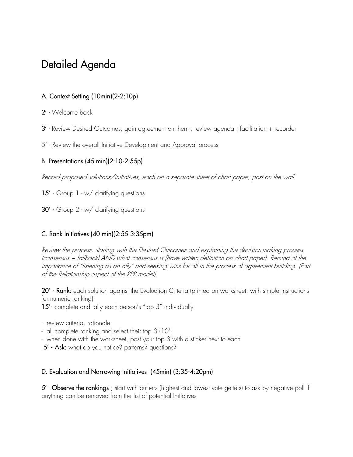# Detailed Agenda

## A. Context Setting (10min)(2-2:10p)

- 2' Welcome back
- 3' Review Desired Outcomes, gain agreement on them ; review agenda ; facilitation + recorder
- 5' Review the overall Initiative Development and Approval process

### B. Presentations (45 min)(2:10-2:55p)

Record proposed solutions/initiatives, each on a separate sheet of chart paper, post on the wall

- 15' Group 1 w/ clarifying questions
- 30' Group 2 w/ clarifying questions

#### C. Rank Initiatives (40 min)(2:55-3:35pm)

Review the process, starting with the Desired Outcomes and explaining the decision-making process (consensus + fallback) AND what consensus is (have written definition on chart paper). Remind of the importance of "listening as an ally" and seeking wins for all in the process of agreement building. (Part of the Relationship aspect of the RPR model).

20' - Rank: each solution against the Evaluation Criteria (printed on worksheet, with simple instructions for numeric ranking)

15'- complete and tally each person's "top 3" individually

- review criteria, rationale
- all complete ranking and select their top 3 (10')
- when done with the worksheet, post your top 3 with a sticker next to each
- 5' Ask: what do you notice? patterns? questions?

#### D. Evaluation and Narrowing Initiatives (45min) (3:35-4:20pm)

5' - Observe the rankings; start with outliers (highest and lowest vote getters) to ask by negative poll if anything can be removed from the list of potential Initiatives